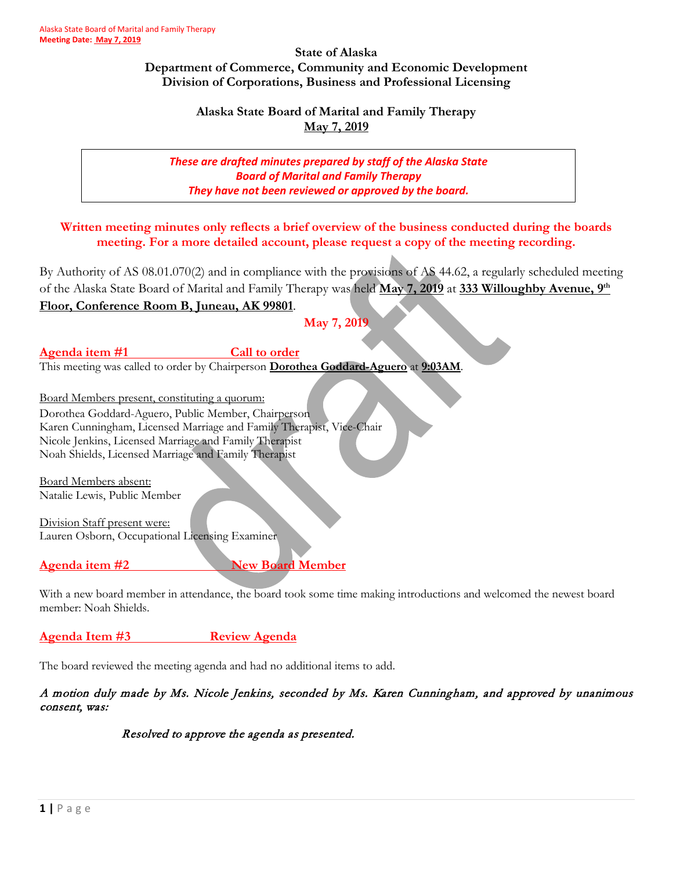### **State of Alaska Department of Commerce, Community and Economic Development Division of Corporations, Business and Professional Licensing**

# **Alaska State Board of Marital and Family Therapy May 7, 2019**

# *These are drafted minutes prepared by staff of the Alaska State Board of Marital and Family Therapy They have not been reviewed or approved by the board.*

**Written meeting minutes only reflects a brief overview of the business conducted during the boards meeting. For a more detailed account, please request a copy of the meeting recording.**

By Authority of AS 08.01.070(2) and in compliance with the provisions of AS 44.62, a regularly scheduled meeting of the Alaska State Board of Marital and Family Therapy was held **May 7, 2019** at **333 Willoughby Avenue, 9th**

# **Floor, Conference Room B, Juneau, AK 99801**.

## **May 7, 2019**

Agenda item #1 Call to order This meeting was called to order by Chairperson **Dorothea Goddard-Aguero** at **9:03AM**.

Board Members present, constituting a quorum: Dorothea Goddard-Aguero, Public Member, Chairperson Karen Cunningham, Licensed Marriage and Family Therapist, Vice-Chair Nicole Jenkins, Licensed Marriage and Family Therapist Noah Shields, Licensed Marriage and Family Therapist

Board Members absent: Natalie Lewis, Public Member

Division Staff present were: Lauren Osborn, Occupational Licensing Examiner

# **Agenda item #2** New Board Member

With a new board member in attendance, the board took some time making introductions and welcomed the newest board member: Noah Shields.

# **Agenda Item #3 Review Agenda**

The board reviewed the meeting agenda and had no additional items to add.

# A motion duly made by Ms. Nicole Jenkins, seconded by Ms. Karen Cunningham, and approved by unanimous consent, was:

# Resolved to approve the agenda as presented.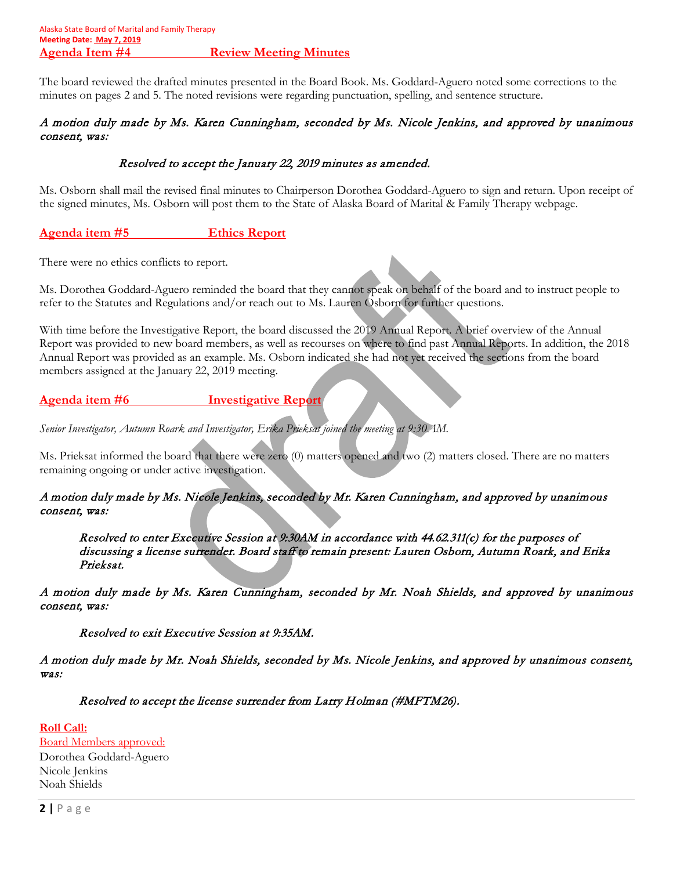The board reviewed the drafted minutes presented in the Board Book. Ms. Goddard-Aguero noted some corrections to the minutes on pages 2 and 5. The noted revisions were regarding punctuation, spelling, and sentence structure.

## A motion duly made by Ms. Karen Cunningham, seconded by Ms. Nicole Jenkins, and approved by unanimous consent, was:

# Resolved to accept the January 22, 2019 minutes as amended.

Ms. Osborn shall mail the revised final minutes to Chairperson Dorothea Goddard-Aguero to sign and return. Upon receipt of the signed minutes, Ms. Osborn will post them to the State of Alaska Board of Marital & Family Therapy webpage.

# **Agenda item #5 Ethics Report**

There were no ethics conflicts to report.

Ms. Dorothea Goddard-Aguero reminded the board that they cannot speak on behalf of the board and to instruct people to refer to the Statutes and Regulations and/or reach out to Ms. Lauren Osborn for further questions.

With time before the Investigative Report, the board discussed the 2019 Annual Report. A brief overview of the Annual Report was provided to new board members, as well as recourses on where to find past Annual Reports. In addition, the 2018 Annual Report was provided as an example. Ms. Osborn indicated she had not yet received the sections from the board members assigned at the January 22, 2019 meeting.

**Agenda item #6 Investigative Report**

*Senior Investigator, Autumn Roark and Investigator, Erika Prieksat joined the meeting at 9:30AM.* 

Ms. Prieksat informed the board that there were zero (0) matters opened and two (2) matters closed. There are no matters remaining ongoing or under active investigation.

# A motion duly made by Ms. Nicole Jenkins, seconded by Mr. Karen Cunningham, and approved by unanimous consent, was:

Resolved to enter Executive Session at 9:30AM in accordance with 44.62.311(c) for the purposes of discussing a license surrender. Board staff to remain present: Lauren Osborn, Autumn Roark, and Erika Prieksat.

A motion duly made by Ms. Karen Cunningham, seconded by Mr. Noah Shields, and approved by unanimous consent, was:

Resolved to exit Executive Session at 9:35AM.

A motion duly made by Mr. Noah Shields, seconded by Ms. Nicole Jenkins, and approved by unanimous consent, was:

Resolved to accept the license surrender from Larry Holman (#MFTM26).

**Roll Call:**  Board Members approved: Dorothea Goddard-Aguero Nicole Jenkins Noah Shields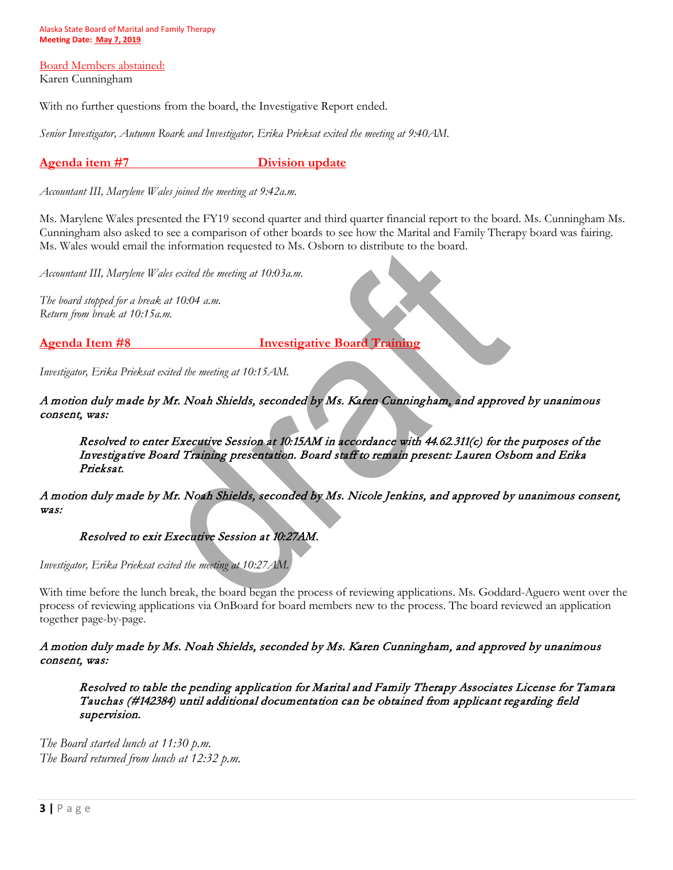Alaska State Board of Marital and Family Therapy **Meeting Date: May 7, 2019**

Board Members abstained: Karen Cunningham

With no further questions from the board, the Investigative Report ended.

*Senior Investigator, Autumn Roark and Investigator, Erika Prieksat exited the meeting at 9:40AM.* 

**Agenda item #7 Division update**

*Accountant III, Marylene Wales joined the meeting at 9:42a.m.*

Ms. Marylene Wales presented the FY19 second quarter and third quarter financial report to the board. Ms. Cunningham Ms. Cunningham also asked to see a comparison of other boards to see how the Marital and Family Therapy board was fairing. Ms. Wales would email the information requested to Ms. Osborn to distribute to the board.

*Accountant III, Marylene Wales exited the meeting at 10:03a.m.* 

*The board stopped for a break at 10:04 a.m. Return from break at 10:15a.m.*

**Agenda Item #8 Investigative Board Training**

*Investigator, Erika Prieksat exited the meeting at 10:15AM.*

A motion duly made by Mr. Noah Shields, seconded by Ms. Karen Cunningham, and approved by unanimous consent, was:

Resolved to enter Executive Session at 10:15AM in accordance with 44.62.311(c) for the purposes of the Investigative Board Training presentation. Board staff to remain present: Lauren Osborn and Erika Prieksat.

A motion duly made by Mr. Noah Shields, seconded by Ms. Nicole Jenkins, and approved by unanimous consent, was:

### Resolved to exit Executive Session at 10:27AM.

*Investigator, Erika Prieksat exited the meeting at 10:27AM.*

With time before the lunch break, the board began the process of reviewing applications. Ms. Goddard-Aguero went over the process of reviewing applications via OnBoard for board members new to the process. The board reviewed an application together page-by-page.

### A motion duly made by Ms. Noah Shields, seconded by Ms. Karen Cunningham, and approved by unanimous consent, was:

Resolved to table the pending application for Marital and Family Therapy Associates License for Tamara Tauchas (#142384) until additional documentation can be obtained from applicant regarding field supervision.

*The Board started lunch at 11:30 p.m. The Board returned from lunch at 12:32 p.m.*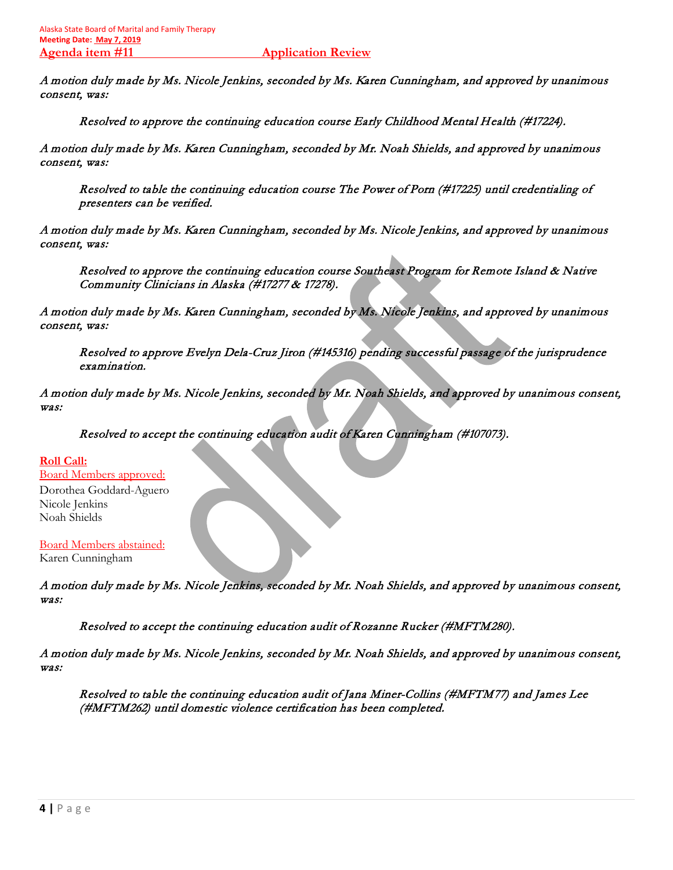A motion duly made by Ms. Nicole Jenkins, seconded by Ms. Karen Cunningham, and approved by unanimous consent, was:

Resolved to approve the continuing education course Early Childhood Mental Health (#17224).

A motion duly made by Ms. Karen Cunningham, seconded by Mr. Noah Shields, and approved by unanimous consent, was:

Resolved to table the continuing education course The Power of Porn (#17225) until credentialing of presenters can be verified.

A motion duly made by Ms. Karen Cunningham, seconded by Ms. Nicole Jenkins, and approved by unanimous consent, was:

Resolved to approve the continuing education course Southeast Program for Remote Island & Native Community Clinicians in Alaska (#17277 & 17278).

A motion duly made by Ms. Karen Cunningham, seconded by Ms. Nicole Jenkins, and approved by unanimous consent, was:

Resolved to approve Evelyn Dela-Cruz Jiron (#145316) pending successful passage of the jurisprudence examination.

A motion duly made by Ms. Nicole Jenkins, seconded by Mr. Noah Shields, and approved by unanimous consent, was:

Resolved to accept the continuing education audit of Karen Cunningham (#107073).

**Roll Call:**  Board Members approved: Dorothea Goddard-Aguero Nicole Jenkins Noah Shields

Board Members abstained: Karen Cunningham

A motion duly made by Ms. Nicole Jenkins, seconded by Mr. Noah Shields, and approved by unanimous consent, was:

Resolved to accept the continuing education audit of Rozanne Rucker (#MFTM280).

A motion duly made by Ms. Nicole Jenkins, seconded by Mr. Noah Shields, and approved by unanimous consent, was:

Resolved to table the continuing education audit of Jana Miner-Collins (#MFTM77) and James Lee (#MFTM262) until domestic violence certification has been completed.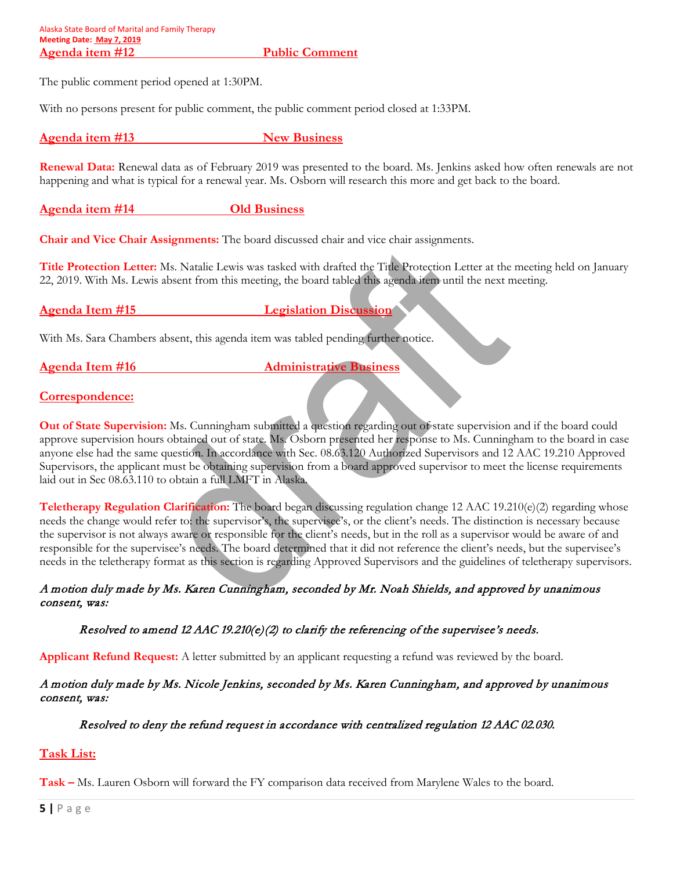The public comment period opened at 1:30PM.

With no persons present for public comment, the public comment period closed at 1:33PM.

Agenda item #13 New Business

**Renewal Data:** Renewal data as of February 2019 was presented to the board. Ms. Jenkins asked how often renewals are not happening and what is typical for a renewal year. Ms. Osborn will research this more and get back to the board.

**Agenda item #14 Old Business**

**Chair and Vice Chair Assignments:** The board discussed chair and vice chair assignments.

**Title Protection Letter:** Ms. Natalie Lewis was tasked with drafted the Title Protection Letter at the meeting held on January 22, 2019. With Ms. Lewis absent from this meeting, the board tabled this agenda item until the next meeting.

**Agenda Item #15 Legislation Discussion**

With Ms. Sara Chambers absent, this agenda item was tabled pending further notice.

**Agenda Item #16** Administrative Business

# **Correspondence:**

**Out of State Supervision:** Ms. Cunningham submitted a question regarding out of state supervision and if the board could approve supervision hours obtained out of state. Ms. Osborn presented her response to Ms. Cunningham to the board in case anyone else had the same question. In accordance with Sec. 08.63.120 Authorized Supervisors and 12 AAC 19.210 Approved Supervisors, the applicant must be obtaining supervision from a board approved supervisor to meet the license requirements laid out in Sec 08.63.110 to obtain a full LMFT in Alaska.

**Teletherapy Regulation Clarification:** The board began discussing regulation change 12 AAC 19.210(e)(2) regarding whose needs the change would refer to: the supervisor's, the supervisee's, or the client's needs. The distinction is necessary because the supervisor is not always aware or responsible for the client's needs, but in the roll as a supervisor would be aware of and responsible for the supervisee's needs. The board determined that it did not reference the client's needs, but the supervisee's needs in the teletherapy format as this section is regarding Approved Supervisors and the guidelines of teletherapy supervisors.

## A motion duly made by Ms. Karen Cunningham, seconded by Mr. Noah Shields, and approved by unanimous consent, was:

# Resolved to amend 12 AAC 19.210(e)(2) to clarify the referencing of the supervisee's needs.

**Applicant Refund Request:** A letter submitted by an applicant requesting a refund was reviewed by the board.

## A motion duly made by Ms. Nicole Jenkins, seconded by Ms. Karen Cunningham, and approved by unanimous consent, was:

# Resolved to deny the refund request in accordance with centralized regulation 12 AAC 02.030.

# **Task List:**

**Task –** Ms. Lauren Osborn will forward the FY comparison data received from Marylene Wales to the board.